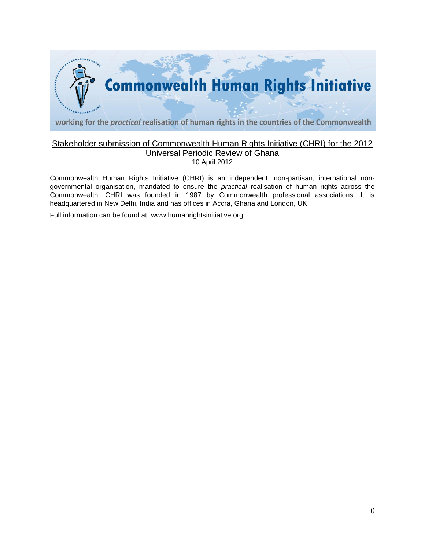

# Stakeholder submission of Commonwealth Human Rights Initiative (CHRI) for the 2012 Universal Periodic Review of Ghana

10 April 2012

Commonwealth Human Rights Initiative (CHRI) is an independent, non-partisan, international nongovernmental organisation, mandated to ensure the *practical* realisation of human rights across the Commonwealth. CHRI was founded in 1987 by Commonwealth professional associations. It is headquartered in New Delhi, India and has offices in Accra, Ghana and London, UK.

Full information can be found at: [www.humanrightsinitiative.org.](http://www.humanrightsinitiative.org/)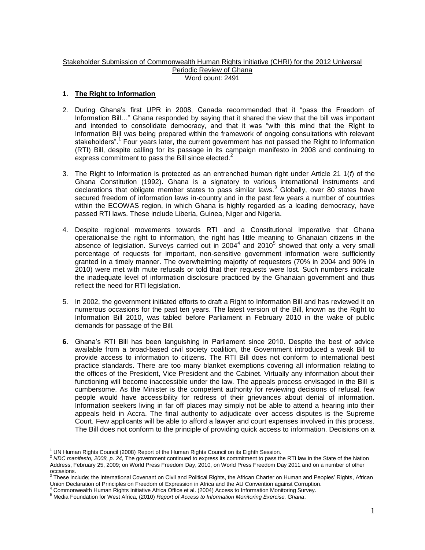#### Stakeholder Submission of Commonwealth Human Rights Initiative (CHRI) for the 2012 Universal Periodic Review of Ghana Word count: 2491

# **1. The Right to Information**

- 2. During Ghana"s first UPR in 2008, Canada recommended that it "pass the Freedom of Information Bill…" Ghana responded by saying that it shared the view that the bill was important and intended to consolidate democracy, and that it was "with this mind that the Right to Information Bill was being prepared within the framework of ongoing consultations with relevant stakeholders".<sup>1</sup> Four years later, the current government has not passed the Right to Information (RTI) Bill, despite calling for its passage in its campaign manifesto in 2008 and continuing to express commitment to pass the Bill since elected.<sup>2</sup>
- 3. The Right to Information is protected as an entrenched human right under Article 21 1(*f*) of the Ghana Constitution (1992). Ghana is a signatory to various international instruments and declarations that obligate member states to pass similar laws.<sup>3</sup> Globally, over 80 states have secured freedom of information laws in-country and in the past few years a number of countries within the ECOWAS region, in which Ghana is highly regarded as a leading democracy, have passed RTI laws. These include Liberia, Guinea, Niger and Nigeria.
- 4. Despite regional movements towards RTI and a Constitutional imperative that Ghana operationalise the right to information, the right has little meaning to Ghanaian citizens in the absence of legislation. Surveys carried out in 2004 $4$  and 2010<sup>5</sup> showed that only a very small percentage of requests for important, non-sensitive government information were sufficiently granted in a timely manner. The overwhelming majority of requesters (70% in 2004 and 90% in 2010) were met with mute refusals or told that their requests were lost. Such numbers indicate the inadequate level of information disclosure practiced by the Ghanaian government and thus reflect the need for RTI legislation.
- 5. In 2002, the government initiated efforts to draft a Right to Information Bill and has reviewed it on numerous occasions for the past ten years. The latest version of the Bill, known as the Right to Information Bill 2010, was tabled before Parliament in February 2010 in the wake of public demands for passage of the Bill.
- **6.** Ghana"s RTI Bill has been languishing in Parliament since 2010. Despite the best of advice available from a broad-based civil society coalition, the Government introduced a weak Bill to provide access to information to citizens. The RTI Bill does not conform to international best practice standards. There are too many blanket exemptions covering all information relating to the offices of the President, Vice President and the Cabinet. Virtually any information about their functioning will become inaccessible under the law. The appeals process envisaged in the Bill is cumbersome. As the Minister is the competent authority for reviewing decisions of refusal, few people would have accessibility for redress of their grievances about denial of information. Information seekers living in far off places may simply not be able to attend a hearing into their appeals held in Accra. The final authority to adjudicate over access disputes is the Supreme Court. Few applicants will be able to afford a lawyer and court expenses involved in this process. The Bill does not conform to the principle of providing quick access to information. Decisions on a

 $\overline{a}$  $<sup>1</sup>$  UN Human Rights Council (2008) Report of the Human Rights Council on its Eighth Session.</sup>

<sup>2</sup> *NDC manifesto, 2008, p. 24,* The government continued to express its commitment to pass the RTI law in the State of the Nation Address, February 25, 2009; on World Press Freedom Day, 2010, on World Press Freedom Day 2011 and on a number of other

occasions.<br><sup>3</sup> These include; the International Covenant on Civil and Political Rights, the African Charter on Human and Peoples' Rights, African Union Declaration of Principles on Freedom of Expression in Africa and the AU Convention against Corruption.

<sup>4</sup> Commonwealth Human Rights Initiative Africa Office et al. (2004) Access to Information Monitoring Survey.

<sup>5</sup> Media Foundation for West Africa, (2010) *Report of Access to Information Monitoring Exercise, Ghana*.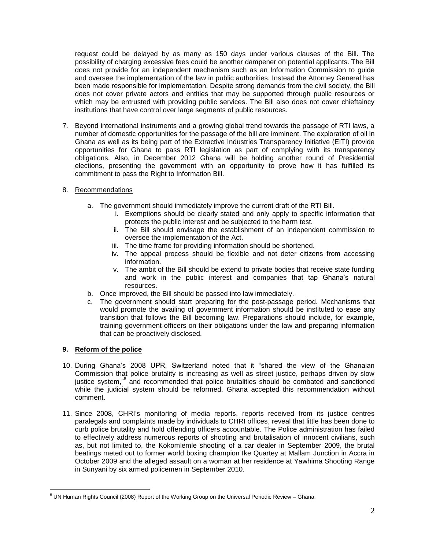request could be delayed by as many as 150 days under various clauses of the Bill. The possibility of charging excessive fees could be another dampener on potential applicants. The Bill does not provide for an independent mechanism such as an Information Commission to guide and oversee the implementation of the law in public authorities. Instead the Attorney General has been made responsible for implementation. Despite strong demands from the civil society, the Bill does not cover private actors and entities that may be supported through public resources or which may be entrusted with providing public services. The Bill also does not cover chieftaincy institutions that have control over large segments of public resources.

- 7. Beyond international instruments and a growing global trend towards the passage of RTI laws, a number of domestic opportunities for the passage of the bill are imminent. The exploration of oil in Ghana as well as its being part of the Extractive Industries Transparency Initiative (EITI) provide opportunities for Ghana to pass RTI legislation as part of complying with its transparency obligations. Also, in December 2012 Ghana will be holding another round of Presidential elections, presenting the government with an opportunity to prove how it has fulfilled its commitment to pass the Right to Information Bill.
- 8. Recommendations
	- a. The government should immediately improve the current draft of the RTI Bill.
		- i. Exemptions should be clearly stated and only apply to specific information that protects the public interest and be subjected to the harm test.
		- ii. The Bill should envisage the establishment of an independent commission to oversee the implementation of the Act.
		- iii. The time frame for providing information should be shortened.
		- iv. The appeal process should be flexible and not deter citizens from accessing information.
		- v. The ambit of the Bill should be extend to private bodies that receive state funding and work in the public interest and companies that tap Ghana"s natural resources.
	- b. Once improved, the Bill should be passed into law immediately.
	- c. The government should start preparing for the post-passage period. Mechanisms that would promote the availing of government information should be instituted to ease any transition that follows the Bill becoming law. Preparations should include, for example, training government officers on their obligations under the law and preparing information that can be proactively disclosed.

# **9. Reform of the police**

- 10. During Ghana"s 2008 UPR, Switzerland noted that it "shared the view of the Ghanaian Commission that police brutality is increasing as well as street justice, perhaps driven by slow justice system,"<sup>6</sup> and recommended that police brutalities should be combated and sanctioned while the judicial system should be reformed. Ghana accepted this recommendation without comment.
- 11. Since 2008, CHRI"s monitoring of media reports, reports received from its justice centres paralegals and complaints made by individuals to CHRI offices, reveal that little has been done to curb police brutality and hold offending officers accountable. The Police administration has failed to effectively address numerous reports of shooting and brutalisation of innocent civilians, such as, but not limited to, the Kokomlemle shooting of a car dealer in September 2009, the brutal beatings meted out to former world boxing champion Ike Quartey at Mallam Junction in Accra in October 2009 and the alleged assault on a woman at her residence at Yawhima Shooting Range in Sunyani by six armed policemen in September 2010.

 $\overline{a}$  $6$  UN Human Rights Council (2008) Report of the Working Group on the Universal Periodic Review – Ghana.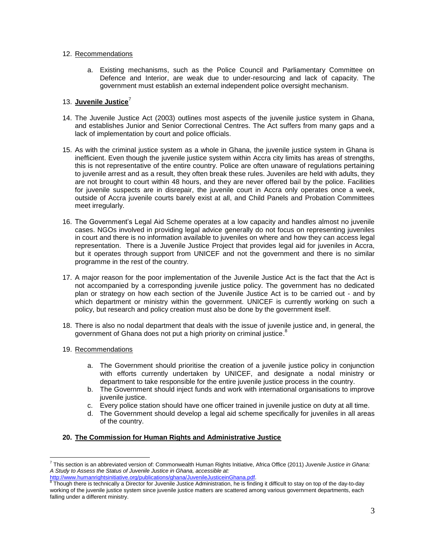#### 12. Recommendations

a. Existing mechanisms, such as the Police Council and Parliamentary Committee on Defence and Interior, are weak due to under-resourcing and lack of capacity. The government must establish an external independent police oversight mechanism.

# 13. **Juvenile Justice**<sup>7</sup>

- 14. The Juvenile Justice Act (2003) outlines most aspects of the juvenile justice system in Ghana, and establishes Junior and Senior Correctional Centres. The Act suffers from many gaps and a lack of implementation by court and police officials.
- 15. As with the criminal justice system as a whole in Ghana, the juvenile justice system in Ghana is inefficient. Even though the juvenile justice system within Accra city limits has areas of strengths, this is not representative of the entire country. Police are often unaware of regulations pertaining to juvenile arrest and as a result, they often break these rules. Juveniles are held with adults, they are not brought to court within 48 hours, and they are never offered bail by the police. Facilities for juvenile suspects are in disrepair, the juvenile court in Accra only operates once a week, outside of Accra juvenile courts barely exist at all, and Child Panels and Probation Committees meet irregularly.
- 16. The Government"s Legal Aid Scheme operates at a low capacity and handles almost no juvenile cases. NGOs involved in providing legal advice generally do not focus on representing juveniles in court and there is no information available to juveniles on where and how they can access legal representation. There is a Juvenile Justice Project that provides legal aid for juveniles in Accra, but it operates through support from UNICEF and not the government and there is no similar programme in the rest of the country.
- 17. A major reason for the poor implementation of the Juvenile Justice Act is the fact that the Act is not accompanied by a corresponding juvenile justice policy. The government has no dedicated plan or strategy on how each section of the Juvenile Justice Act is to be carried out - and by which department or ministry within the government. UNICEF is currently working on such a policy, but research and policy creation must also be done by the government itself.
- 18. There is also no nodal department that deals with the issue of juvenile justice and, in general, the government of Ghana does not put a high priority on criminal justice.<sup>8</sup>
- 19. Recommendations

 $\overline{a}$ 

- a. The Government should prioritise the creation of a juvenile justice policy in conjunction with efforts currently undertaken by UNICEF, and designate a nodal ministry or department to take responsible for the entire juvenile justice process in the country.
- b. The Government should inject funds and work with international organisations to improve juvenile justice.
- c. Every police station should have one officer trained in juvenile justice on duty at all time.
- d. The Government should develop a legal aid scheme specifically for juveniles in all areas of the country.

# **20. The Commission for Human Rights and Administrative Justice**

<sup>7</sup> This section is an abbreviated version of: Commonwealth Human Rights Initiative, Africa Office (2011) *Juvenile Justice in Ghana: A Study to Assess the Status of Juvenile Justice in Ghana, accessible at:*

<sup>&</sup>lt;u>http://www.humanrightsinitiative.org/publications/ghana/JuvenileJusticeinGhana.pdf</u>.<br><sup>8</sup> Though there is technically a Director for Juvenile Justice Administration, he is finding it difficult to stay on top of the day-to working of the juvenile justice system since juvenile justice matters are scattered among various government departments, each falling under a different ministry.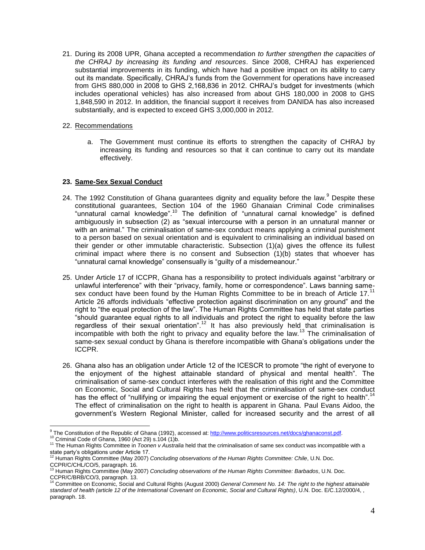21. During its 2008 UPR, Ghana accepted a recommendation *to further strengthen the capacities of the CHRAJ by increasing its funding and resources*. Since 2008, CHRAJ has experienced substantial improvements in its funding, which have had a positive impact on its ability to carry out its mandate. Specifically, CHRAJ"s funds from the Government for operations have increased from GHS 880,000 in 2008 to GHS 2,168,836 in 2012. CHRAJ"s budget for investments (which includes operational vehicles) has also increased from about GHS 180,000 in 2008 to GHS 1,848,590 in 2012. In addition, the financial support it receives from DANIDA has also increased substantially, and is expected to exceed GHS 3,000,000 in 2012.

#### 22. Recommendations

a. The Government must continue its efforts to strengthen the capacity of CHRAJ by increasing its funding and resources so that it can continue to carry out its mandate effectively.

# **23. Same-Sex Sexual Conduct**

- 24. The 1992 Constitution of Ghana guarantees dignity and equality before the law.<sup>9</sup> Despite these constitutional guarantees, Section 104 of the 1960 Ghanaian Criminal Code criminalises "unnatural carnal knowledge".<sup>10</sup> The definition of "unnatural carnal knowledge" is defined ambiguously in subsection (2) as "sexual intercourse with a person in an unnatural manner or with an animal." The criminalisation of same-sex conduct means applying a criminal punishment to a person based on sexual orientation and is equivalent to criminalising an individual based on their gender or other immutable characteristic. Subsection (1)(a) gives the offence its fullest criminal impact where there is no consent and Subsection  $(1)(b)$  states that whoever has "unnatural carnal knowledge" consensually is "guilty of a misdemeanour."
- 25. Under Article 17 of ICCPR, Ghana has a responsibility to protect individuals against "arbitrary or unlawful interference" with their "privacy, family, home or correspondence". Laws banning samesex conduct have been found by the Human Rights Committee to be in breach of Article 17.<sup>11</sup> Article 26 affords individuals "effective protection against discrimination on any ground" and the right to "the equal protection of the law". The Human Rights Committee has held that state parties "should guarantee equal rights to all individuals and protect the right to equality before the law regardless of their sexual orientation".<sup>12</sup> It has also previously held that criminalisation is incompatible with both the right to privacy and equality before the law.<sup>13</sup> The criminalisation of same-sex sexual conduct by Ghana is therefore incompatible with Ghana's obligations under the ICCPR.
- 26. Ghana also has an obligation under Article 12 of the ICESCR to promote "the right of everyone to the enjoyment of the highest attainable standard of physical and mental health". The criminalisation of same-sex conduct interferes with the realisation of this right and the Committee on Economic, Social and Cultural Rights has held that the criminalisation of same-sex conduct has the effect of "nullifying or impairing the equal enjoyment or exercise of the right to health".<sup>14</sup> The effect of criminalisation on the right to health is apparent in Ghana. Paul Evans Aidoo, the government"s Western Regional Minister, called for increased security and the arrest of all

 $\overline{a}$ <sup>9</sup> The Constitution of the Republic of Ghana (1992), accessed at: [http://www.politicsresources.net/docs/ghanaconst.pdf.](http://www.politicsresources.net/docs/ghanaconst.pdf)

<sup>&</sup>lt;sup>10</sup> Criminal Code of Ghana, 1960 (Act 29) s.104 (1)b.

<sup>&</sup>lt;sup>11</sup> The Human Rights Committee in *Toonen v Australia* held that the criminalisation of same sex conduct was incompatible with a

state party"s obligations under Article 17. <sup>12</sup> Human Rights Committee (May 2007) *Concluding observations of the Human Rights Committee: Chile*, U.N. Doc. CCPR/C/CHL/CO/5, paragraph. 16.<br><sup>13</sup> Human Dict: 2

<sup>13</sup> Human Rights Committee (May 2007) *Concluding observations of the Human Rights Committee: Barbados*, U.N. Doc. CCPR/C/BRB/CO/3, paragraph. 13.

<sup>14</sup> Committee on Economic, Social and Cultural Rights (August 2000) *General Comment No. 14: The right to the highest attainable standard of health (article 12 of the International Covenant on Economic, Social and Cultural Rights)*, U.N. Doc. E/C.12/2000/4, , paragraph. 18.